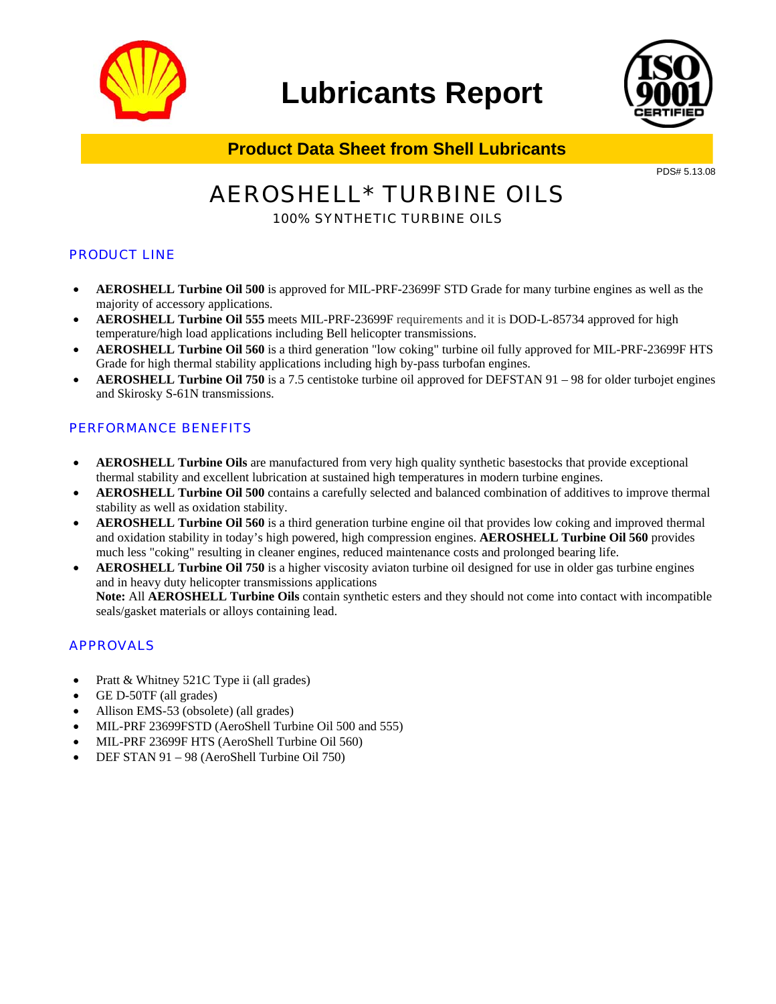

## **Lubricants Report**



**Product Data Sheet from Shell Lubricants**

PDS# 5.13.08

# AEROSHELL\* TURBINE OILS

### 100% SYNTHETIC TURBINE OILS

#### PRODUCT LINE

- **AEROSHELL Turbine Oil 500** is approved for MIL-PRF-23699F STD Grade for many turbine engines as well as the majority of accessory applications.
- **AEROSHELL Turbine Oil 555** meets MIL-PRF-23699F requirements and it is DOD-L-85734 approved for high temperature/high load applications including Bell helicopter transmissions.
- **AEROSHELL Turbine Oil 560** is a third generation "low coking" turbine oil fully approved for MIL-PRF-23699F HTS Grade for high thermal stability applications including high by-pass turbofan engines.
- **AEROSHELL Turbine Oil 750** is a 7.5 centistoke turbine oil approved for DEFSTAN 91 98 for older turbojet engines and Skirosky S-61N transmissions.

#### PERFORMANCE BENEFITS

- **AEROSHELL Turbine Oils** are manufactured from very high quality synthetic basestocks that provide exceptional thermal stability and excellent lubrication at sustained high temperatures in modern turbine engines.
- **AEROSHELL Turbine Oil 500** contains a carefully selected and balanced combination of additives to improve thermal stability as well as oxidation stability.
- **AEROSHELL Turbine Oil 560** is a third generation turbine engine oil that provides low coking and improved thermal and oxidation stability in today's high powered, high compression engines. **AEROSHELL Turbine Oil 560** provides much less "coking" resulting in cleaner engines, reduced maintenance costs and prolonged bearing life.
- **AEROSHELL Turbine Oil 750** is a higher viscosity aviaton turbine oil designed for use in older gas turbine engines and in heavy duty helicopter transmissions applications **Note:** All **AEROSHELL Turbine Oils** contain synthetic esters and they should not come into contact with incompatible seals/gasket materials or alloys containing lead.

#### APPROVALS

- Pratt & Whitney 521C Type ii (all grades)
- GE D-50TF (all grades)
- Allison EMS-53 (obsolete) (all grades)
- MIL-PRF 23699FSTD (AeroShell Turbine Oil 500 and 555)
- MIL-PRF 23699F HTS (AeroShell Turbine Oil 560)
- DEF STAN 91 98 (AeroShell Turbine Oil 750)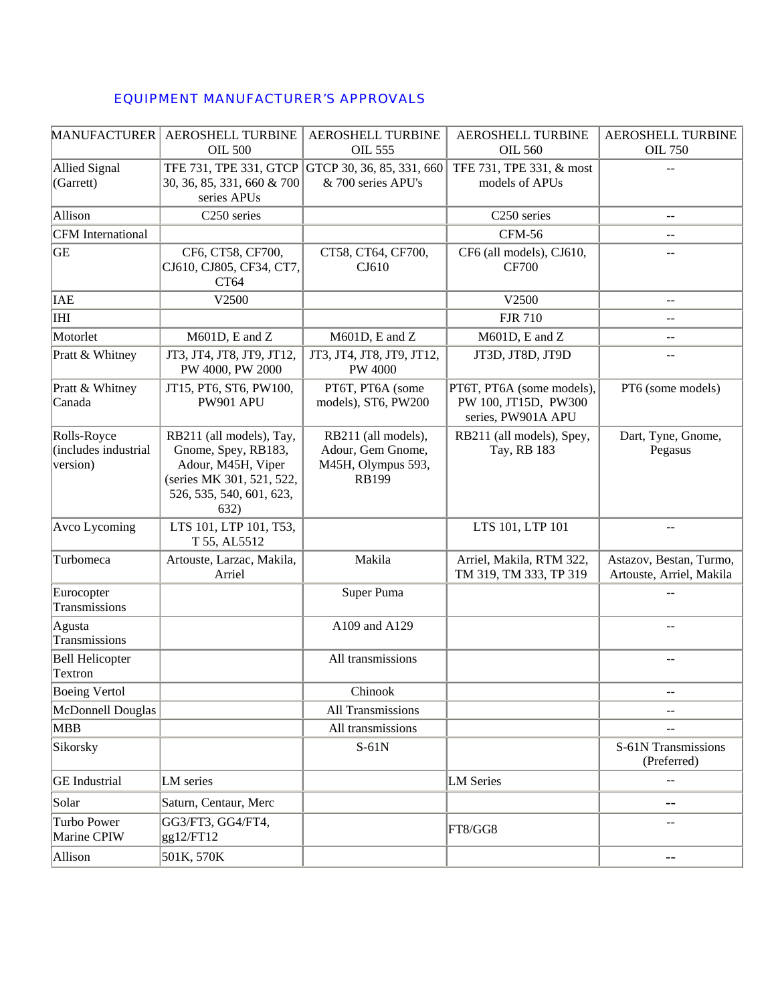#### EQUIPMENT MANUFACTURER'S APPROVALS

| <b>MANUFACTURER</b>                             | AEROSHELL TURBINE<br><b>OIL 500</b>                                                                                                    | AEROSHELL TURBINE<br><b>OIL 555</b>                                            | <b>AEROSHELL TURBINE</b><br><b>OIL 560</b>                              | AEROSHELL TURBINE<br><b>OIL 750</b>                 |
|-------------------------------------------------|----------------------------------------------------------------------------------------------------------------------------------------|--------------------------------------------------------------------------------|-------------------------------------------------------------------------|-----------------------------------------------------|
| <b>Allied Signal</b><br>(Garrett)               | TFE 731, TPE 331, GTCP<br>30, 36, 85, 331, 660 & 700<br>series APUs                                                                    | GTCP 30, 36, 85, 331, 660<br>& 700 series APU's                                | TFE 731, TPE 331, & most<br>models of APUs                              | $-1$                                                |
| Allison                                         | C <sub>250</sub> series                                                                                                                |                                                                                | C250 series                                                             | $\overline{a}$                                      |
| <b>CFM</b> International                        |                                                                                                                                        |                                                                                | <b>CFM-56</b>                                                           | --                                                  |
| <b>GE</b>                                       | CF6, CT58, CF700,<br>CJ610, CJ805, CF34, CT7,<br>CT64                                                                                  | CT58, CT64, CF700,<br>CJ610                                                    | CF6 (all models), CJ610,<br><b>CF700</b>                                | $=$                                                 |
| <b>IAE</b>                                      | V2500                                                                                                                                  |                                                                                | V2500                                                                   | $-$                                                 |
| IHI                                             |                                                                                                                                        |                                                                                | <b>FJR 710</b>                                                          | $-1$                                                |
| Motorlet                                        | M601D, E and Z                                                                                                                         | M601D, E and Z                                                                 | M601D, E and Z                                                          | --                                                  |
| Pratt & Whitney                                 | JT3, JT4, JT8, JT9, JT12,<br>PW 4000, PW 2000                                                                                          | JT3, JT4, JT8, JT9, JT12,<br><b>PW 4000</b>                                    | JT3D, JT8D, JT9D                                                        | $\overline{\phantom{m}}$                            |
| Pratt & Whitney<br>Canada                       | JT15, PT6, ST6, PW100,<br><b>PW901 APU</b>                                                                                             | PT6T, PT6A (some<br>models), ST6, PW200                                        | PT6T, PT6A (some models),<br>PW 100, JT15D, PW300<br>series, PW901A APU | PT6 (some models)                                   |
| Rolls-Royce<br>(includes industrial<br>version) | RB211 (all models), Tay,<br>Gnome, Spey, RB183,<br>Adour, M45H, Viper<br>(series MK 301, 521, 522,<br>526, 535, 540, 601, 623,<br>632) | RB211 (all models),<br>Adour, Gem Gnome,<br>M45H, Olympus 593,<br><b>RB199</b> | RB211 (all models), Spey,<br>Tay, RB 183                                | Dart, Tyne, Gnome,<br>Pegasus                       |
| Avco Lycoming                                   | LTS 101, LTP 101, T53,<br>T 55, AL5512                                                                                                 |                                                                                | LTS 101, LTP 101                                                        | --                                                  |
| Turbomeca                                       | Artouste, Larzac, Makila,<br>Arriel                                                                                                    | Makila                                                                         | Arriel, Makila, RTM 322,<br>TM 319, TM 333, TP 319                      | Astazov, Bestan, Turmo,<br>Artouste, Arriel, Makila |
| Eurocopter<br>Transmissions                     |                                                                                                                                        | Super Puma                                                                     |                                                                         |                                                     |
| Agusta<br>Transmissions                         |                                                                                                                                        | A109 and A129                                                                  |                                                                         | --                                                  |
| <b>Bell Helicopter</b><br>Textron               |                                                                                                                                        | All transmissions                                                              |                                                                         | $\overline{\phantom{m}}$                            |
| <b>Boeing Vertol</b>                            |                                                                                                                                        | Chinook                                                                        |                                                                         |                                                     |
| McDonnell Douglas                               |                                                                                                                                        | All Transmissions                                                              |                                                                         | --                                                  |
| <b>MBB</b>                                      |                                                                                                                                        | All transmissions                                                              |                                                                         | $-1$                                                |
| Sikorsky                                        |                                                                                                                                        | $S-61N$                                                                        |                                                                         | S-61N Transmissions<br>(Preferred)                  |
| <b>GE</b> Industrial                            | LM series                                                                                                                              |                                                                                | <b>LM</b> Series                                                        |                                                     |
| Solar                                           | Saturn, Centaur, Merc                                                                                                                  |                                                                                |                                                                         | $- -$                                               |
| Turbo Power<br>Marine CPIW                      | GG3/FT3, GG4/FT4,<br>gg12/FT12                                                                                                         |                                                                                | FT8/GG8                                                                 | --                                                  |
| Allison                                         | 501K, 570K                                                                                                                             |                                                                                |                                                                         | $--$                                                |